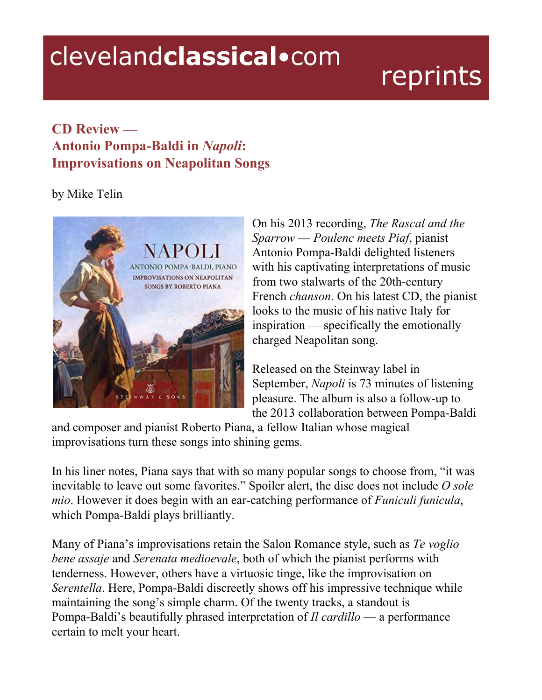## clevelandclassical.com

## reprints

## **CD Review — Antonio Pompa-Baldi in** *Napoli***: Improvisations on Neapolitan Songs**

## by Mike Telin



On his 2013 recording, *The Rascal and the Sparrow* — *Poulenc meets Piaf*, pianist Antonio Pompa-Baldi delighted listeners with his captivating interpretations of music from two stalwarts of the 20th-century French *chanson*. On his latest CD, the pianist looks to the music of his native Italy for inspiration — specifically the emotionally charged Neapolitan song.

Released on the Steinway label in September, *Napoli* is 73 minutes of listening pleasure. The album is also a follow-up to the 2013 collaboration between Pompa-Baldi

and composer and pianist Roberto Piana, a fellow Italian whose magical improvisations turn these songs into shining gems.

In his liner notes, Piana says that with so many popular songs to choose from, "it was inevitable to leave out some favorites." Spoiler alert, the disc does not include *O sole mio*. However it does begin with an ear-catching performance of *Funiculi funicula*, which Pompa-Baldi plays brilliantly.

Many of Piana's improvisations retain the Salon Romance style, such as *Te voglio bene assaje* and *Serenata medioevale*, both of which the pianist performs with tenderness. However, others have a virtuosic tinge, like the improvisation on *Serentella*. Here, Pompa-Baldi discreetly shows off his impressive technique while maintaining the song's simple charm. Of the twenty tracks, a standout is Pompa-Baldi's beautifully phrased interpretation of *Il cardillo* — a performance certain to melt your heart.